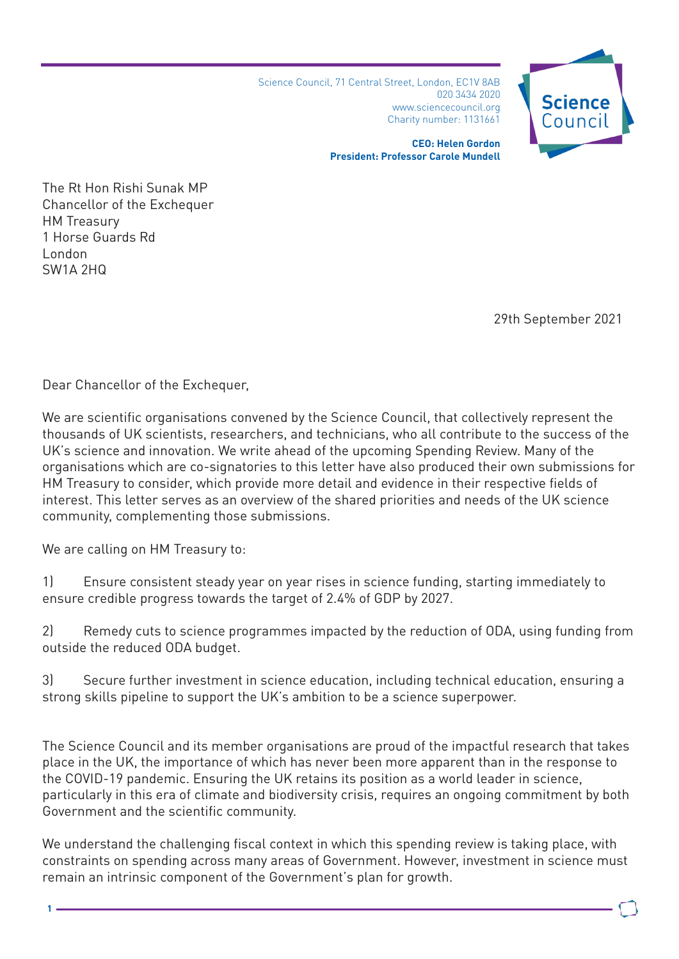Science Council, 71 Central Street, London, EC1V 8AB 020 3434 2020 www.sciencecouncil.org Charity number: 1131661



**CEO: Helen Gordon President: Professor Carole Mundell**

The Rt Hon Rishi Sunak MP Chancellor of the Exchequer HM Treasury 1 Horse Guards Rd London SW1A 2HQ

29th September 2021

Dear Chancellor of the Exchequer,

We are scientific organisations convened by the Science Council, that collectively represent the thousands of UK scientists, researchers, and technicians, who all contribute to the success of the UK's science and innovation. We write ahead of the upcoming Spending Review. Many of the organisations which are co-signatories to this letter have also produced their own submissions for HM Treasury to consider, which provide more detail and evidence in their respective fields of interest. This letter serves as an overview of the shared priorities and needs of the UK science community, complementing those submissions.

We are calling on HM Treasury to:

1) Ensure consistent steady year on year rises in science funding, starting immediately to ensure credible progress towards the target of 2.4% of GDP by 2027.

2) Remedy cuts to science programmes impacted by the reduction of ODA, using funding from outside the reduced ODA budget.

3) Secure further investment in science education, including technical education, ensuring a strong skills pipeline to support the UK's ambition to be a science superpower.

The Science Council and its member organisations are proud of the impactful research that takes place in the UK, the importance of which has never been more apparent than in the response to the COVID-19 pandemic. Ensuring the UK retains its position as a world leader in science, particularly in this era of climate and biodiversity crisis, requires an ongoing commitment by both Government and the scientific community.

We understand the challenging fiscal context in which this spending review is taking place, with constraints on spending across many areas of Government. However, investment in science must remain an intrinsic component of the Government's plan for growth.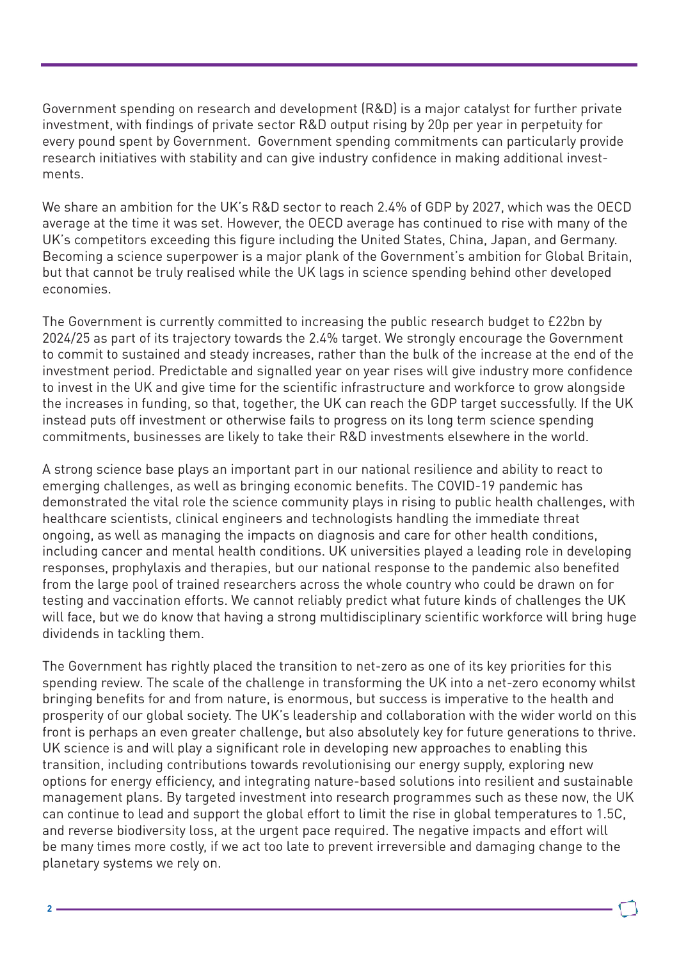Government spending on research and development (R&D) is a major catalyst for further private investment, with findings of private sector R&D output rising by 20p per year in perpetuity for every pound spent by Government. Government spending commitments can particularly provide research initiatives with stability and can give industry confidence in making additional investments.

We share an ambition for the UK's R&D sector to reach 2.4% of GDP by 2027, which was the OECD average at the time it was set. However, the OECD average has continued to rise with many of the UK's competitors exceeding this figure including the United States, China, Japan, and Germany. Becoming a science superpower is a major plank of the Government's ambition for Global Britain, but that cannot be truly realised while the UK lags in science spending behind other developed economies.

The Government is currently committed to increasing the public research budget to £22bn by 2024/25 as part of its trajectory towards the 2.4% target. We strongly encourage the Government to commit to sustained and steady increases, rather than the bulk of the increase at the end of the investment period. Predictable and signalled year on year rises will give industry more confidence to invest in the UK and give time for the scientific infrastructure and workforce to grow alongside the increases in funding, so that, together, the UK can reach the GDP target successfully. If the UK instead puts off investment or otherwise fails to progress on its long term science spending commitments, businesses are likely to take their R&D investments elsewhere in the world.

A strong science base plays an important part in our national resilience and ability to react to emerging challenges, as well as bringing economic benefits. The COVID-19 pandemic has demonstrated the vital role the science community plays in rising to public health challenges, with healthcare scientists, clinical engineers and technologists handling the immediate threat ongoing, as well as managing the impacts on diagnosis and care for other health conditions, including cancer and mental health conditions. UK universities played a leading role in developing responses, prophylaxis and therapies, but our national response to the pandemic also benefited from the large pool of trained researchers across the whole country who could be drawn on for testing and vaccination efforts. We cannot reliably predict what future kinds of challenges the UK will face, but we do know that having a strong multidisciplinary scientific workforce will bring huge dividends in tackling them.

The Government has rightly placed the transition to net-zero as one of its key priorities for this spending review. The scale of the challenge in transforming the UK into a net-zero economy whilst bringing benefits for and from nature, is enormous, but success is imperative to the health and prosperity of our global society. The UK's leadership and collaboration with the wider world on this front is perhaps an even greater challenge, but also absolutely key for future generations to thrive. UK science is and will play a significant role in developing new approaches to enabling this transition, including contributions towards revolutionising our energy supply, exploring new options for energy efficiency, and integrating nature-based solutions into resilient and sustainable management plans. By targeted investment into research programmes such as these now, the UK can continue to lead and support the global effort to limit the rise in global temperatures to 1.5C, and reverse biodiversity loss, at the urgent pace required. The negative impacts and effort will be many times more costly, if we act too late to prevent irreversible and damaging change to the planetary systems we rely on.

**2**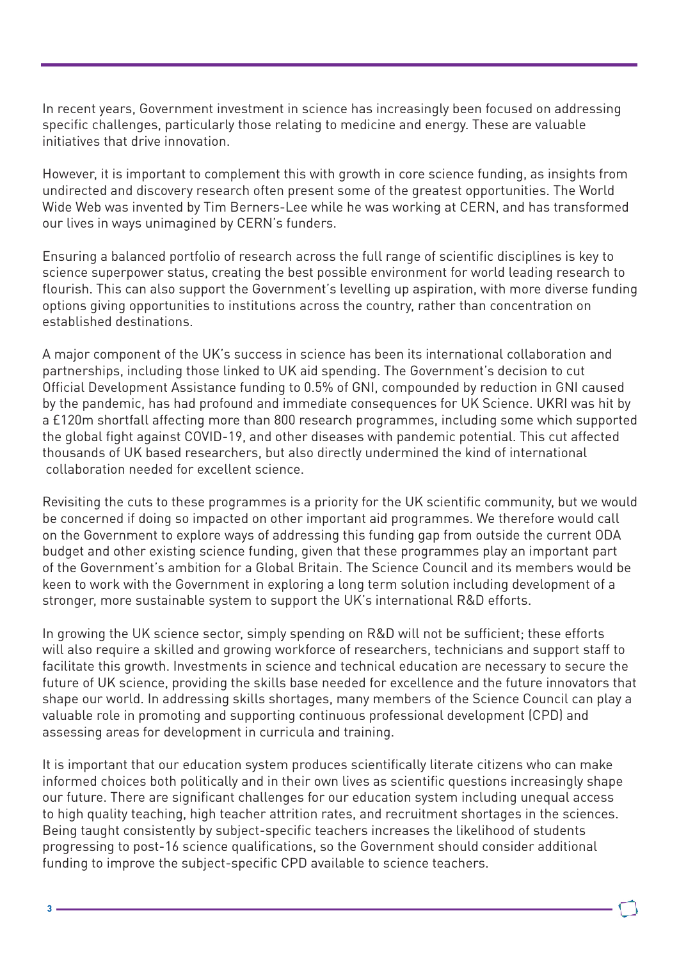In recent years, Government investment in science has increasingly been focused on addressing specific challenges, particularly those relating to medicine and energy. These are valuable initiatives that drive innovation.

However, it is important to complement this with growth in core science funding, as insights from undirected and discovery research often present some of the greatest opportunities. The World Wide Web was invented by Tim Berners-Lee while he was working at CERN, and has transformed our lives in ways unimagined by CERN's funders.

Ensuring a balanced portfolio of research across the full range of scientific disciplines is key to science superpower status, creating the best possible environment for world leading research to flourish. This can also support the Government's levelling up aspiration, with more diverse funding options giving opportunities to institutions across the country, rather than concentration on established destinations.

A major component of the UK's success in science has been its international collaboration and partnerships, including those linked to UK aid spending. The Government's decision to cut Official Development Assistance funding to 0.5% of GNI, compounded by reduction in GNI caused by the pandemic, has had profound and immediate consequences for UK Science. UKRI was hit by a £120m shortfall affecting more than 800 research programmes, including some which supported the global fight against COVID-19, and other diseases with pandemic potential. This cut affected thousands of UK based researchers, but also directly undermined the kind of international collaboration needed for excellent science.

Revisiting the cuts to these programmes is a priority for the UK scientific community, but we would be concerned if doing so impacted on other important aid programmes. We therefore would call on the Government to explore ways of addressing this funding gap from outside the current ODA budget and other existing science funding, given that these programmes play an important part of the Government's ambition for a Global Britain. The Science Council and its members would be keen to work with the Government in exploring a long term solution including development of a stronger, more sustainable system to support the UK's international R&D efforts.

In growing the UK science sector, simply spending on R&D will not be sufficient; these efforts will also require a skilled and growing workforce of researchers, technicians and support staff to facilitate this growth. Investments in science and technical education are necessary to secure the future of UK science, providing the skills base needed for excellence and the future innovators that shape our world. In addressing skills shortages, many members of the Science Council can play a valuable role in promoting and supporting continuous professional development (CPD) and assessing areas for development in curricula and training.

It is important that our education system produces scientifically literate citizens who can make informed choices both politically and in their own lives as scientific questions increasingly shape our future. There are significant challenges for our education system including unequal access to high quality teaching, high teacher attrition rates, and recruitment shortages in the sciences. Being taught consistently by subject-specific teachers increases the likelihood of students progressing to post-16 science qualifications, so the Government should consider additional funding to improve the subject-specific CPD available to science teachers.

**3**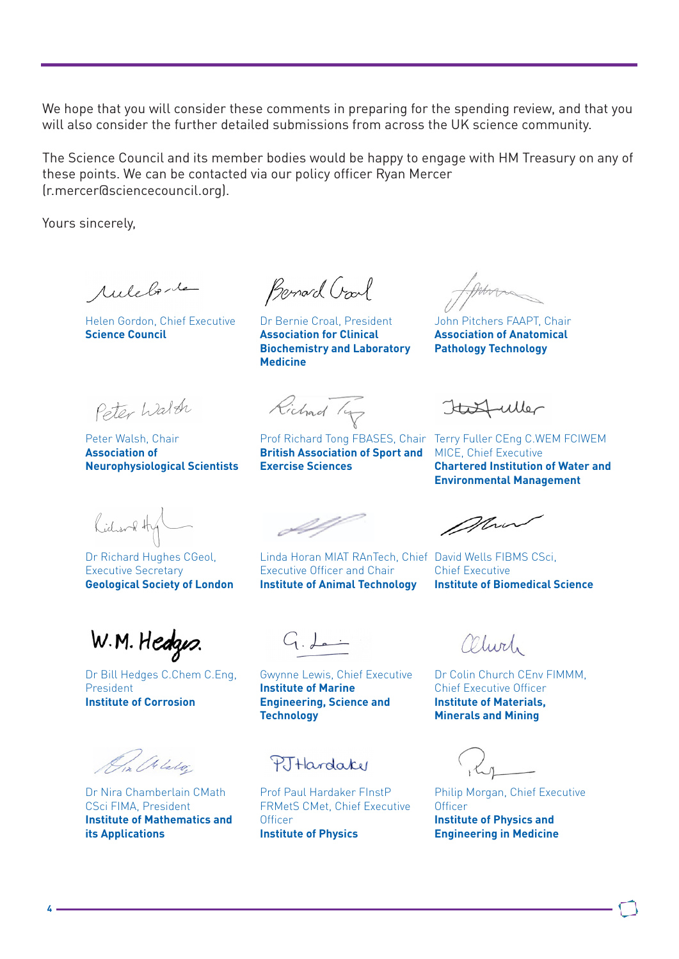We hope that you will consider these comments in preparing for the spending review, and that you will also consider the further detailed submissions from across the UK science community.

The Science Council and its member bodies would be happy to engage with HM Treasury on any of these points. We can be contacted via our policy officer Ryan Mercer (r.mercer@sciencecouncil.org).

Yours sincerely,

Auleborte

Helen Gordon, Chief Executive **Science Council**

Bernard Crarl

Dr Bernie Croal, President **Association for Clinical Biochemistry and Laboratory Medicine**

John Pitchers FAAPT, Chair **Association of Anatomical Pathology Technology**

Peter Walter

Peter Walsh, Chair **Association of Neurophysiological Scientists**

Richard Ty

**British Association of Sport and Exercise Sciences**

Italfuller

Prof Richard Tong FBASES, Chair Terry Fuller CEng C.WEM FCIWEM MICE, Chief Executive **Chartered Institution of Water and Environmental Management**

Richard Hy

Dr Richard Hughes CGeol, Executive Secretary **Geological Society of London**

W.M. Hedges.

Dr Bill Hedges C.Chem C.Eng, President **Institute of Corrosion**

Dr. Alalo.

Dr Nira Chamberlain CMath CSci FIMA, President **Institute of Mathematics and its Applications**

Executive Officer and Chair **Institute of Animal Technology** 

Mrin

Linda Horan MIAT RAnTech, Chief David Wells FIBMS CSci, Chief Executive **Institute of Biomedical Science**

 $G_{\cdot}$  fact

Gwynne Lewis, Chief Executive **Institute of Marine Engineering, Science and Technology**

PJHardake

Prof Paul Hardaker FInstP FRMetS CMet, Chief Executive **Officer Institute of Physics**

alwich

Dr Colin Church CEnv FIMMM, Chief Executive Officer **Institute of Materials, Minerals and Mining**

Philip Morgan, Chief Executive **Officer Institute of Physics and Engineering in Medicine**

**4**